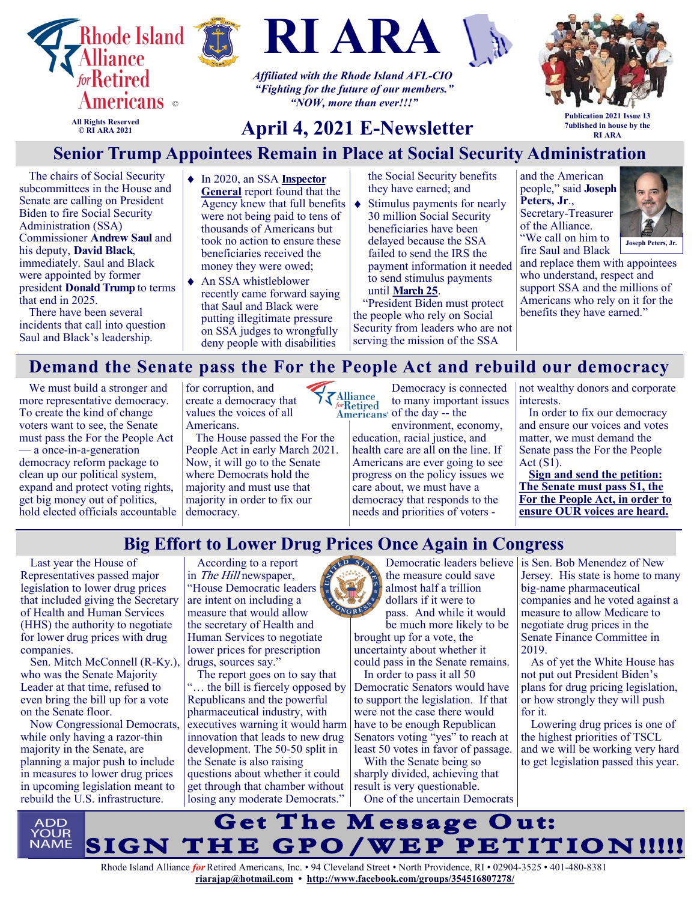





*Affiliated with the Rhode Island AFL-CIO "Fighting for the future of our members." "NOW, more than ever!!!"*



**All Rights Reserved © RI ARA 2021**

# **April 4, 2021 E-Newsletter**

**Publication 2021 Issue 13 7ublished in house by the RI ARA**

# **Senior Trump Appointees Remain in Place at Social Security Administration**

The chairs of Social Security subcommittees in the House and Senate are calling on President Biden to fire Social Security Administration (SSA) Commissioner **Andrew Saul** and his deputy, **David Black**, immediately. Saul and Black were appointed by former president **Donald Trump** to terms that end in 2025.

There have been several incidents that call into question Saul and Black's leadership.

- ◆ In 2020, an SSA **Inspector [General](https://u1584542.ct.sendgrid.net/ss/c/atcYNHk4Eh2YdGnwBh-YDDUV27dB1SLFWpo-Uwox6ENv8RZb0xTlyr0qs7ypv1D44TDLUb_GG6bHzuWPc94LQlQ_DkoFARG4qj3DhACRizcwJc5YSe4v7LecgPw2Uaoy5CydsIWtkdRQkPUtPASqm2LIlqe6lbeWD1ODZi0SNhUeUDgPjd43R2gTyNj7r5Y_fxq5_IGMuL3X2WUjUaBb3DFnyilC3)** report found that the Agency knew that full benefits were not being paid to tens of thousands of Americans but took no action to ensure these beneficiaries received the money they were owed;
- ◆ An SSA whistleblower recently came forward saying that Saul and Black were putting illegitimate pressure on SSA judges to wrongfully deny people with disabilities

the Social Security benefits they have earned; and

 $\bullet$ Stimulus payments for nearly 30 million Social Security beneficiaries have been delayed because the SSA failed to send the IRS the payment information it needed to send stimulus payments until **[March 25](https://u1584542.ct.sendgrid.net/ss/c/dSCQfi9FLISmU3ZE3bfPhpwmY_DHMAZqFSLUrpAn-pr5_84kChEqJKA-J1wZR7BR_NQagVjJCw914wPnn4t8VVwtKeumuPcu7W5ajDMIdTMbn5dOrCByyIXsqTyzYqNrP0n2jUaWUh253PyIrDuU1oZ5jEcUQvhI0tHbcMkEO-7uZu8vkoBrGzsbPtJgQObsDQax7n2GguoIu7UhuPTQXA7ks48F7)**.

"President Biden must protect the people who rely on Social Security from leaders who are not serving the mission of the SSA

and the American people," said **Joseph Peters, Jr**., Secretary-Treasurer of the Alliance. "We call on him to fire Saul and Black



and replace them with appointees who understand, respect and support SSA and the millions of Americans who rely on it for the benefits they have earned."

# **Demand the Senate pass the For the People Act and rebuild our democracy**

We must build a stronger and more representative democracy. To create the kind of change voters want to see, the Senate must pass the For the People Act — a once-in-a-generation democracy reform package to clean up our political system, expand and protect voting rights, get big money out of politics, hold elected officials accountable for corruption, and create a democracy that values the voices of all Americans.

The House passed the For the People Act in early March 2021. Now, it will go to the Senate where Democrats hold the majority and must use that majority in order to fix our democracy.

Democracy is connected **ZAlliance**<br>*for*Retired to many important issues Americans' of the day -- the

> environment, economy, education, racial justice, and health care are all on the line. If Americans are ever going to see progress on the policy issues we care about, we must have a democracy that responds to the needs and priorities of voters -

not wealthy donors and corporate interests.

In order to fix our democracy and ensure our voices and votes matter, we must demand the Senate pass the For the People Act (S1).

**[Sign and send the petition:](https://actionnetwork.org/letters/sign-and-send-the-petition-demand-the-senate-pass-the-for-the-people-act-and-rebuild-our-democracy)  [The Senate must pass S1, the](https://actionnetwork.org/letters/sign-and-send-the-petition-demand-the-senate-pass-the-for-the-people-act-and-rebuild-our-democracy)  [For the People Act, in order to](https://actionnetwork.org/letters/sign-and-send-the-petition-demand-the-senate-pass-the-for-the-people-act-and-rebuild-our-democracy)  [ensure OUR voices are heard.](https://actionnetwork.org/letters/sign-and-send-the-petition-demand-the-senate-pass-the-for-the-people-act-and-rebuild-our-democracy)**

## **Big Effort to Lower Drug Prices Once Again in Congress**

Last year the House of Representatives passed major legislation to lower drug prices that included giving the Secretary of Health and Human Services (HHS) the authority to negotiate for lower drug prices with drug companies.

Sen. Mitch McConnell (R-Ky.), who was the Senate Majority Leader at that time, refused to even bring the bill up for a vote on the Senate floor.

Now Congressional Democrats, while only having a razor-thin majority in the Senate, are planning a major push to include in measures to lower drug prices in upcoming legislation meant to rebuild the U.S. infrastructure.

According to a report in The Hill newspaper, "House Democratic leaders are intent on including a measure that would allow the secretary of Health and Human Services to negotiate lower prices for prescription drugs, sources say."

The report goes on to say that "… the bill is fiercely opposed by Republicans and the powerful pharmaceutical industry, with executives warning it would harm innovation that leads to new drug development. The 50-50 split in the Senate is also raising questions about whether it could get through that chamber without losing any moderate Democrats."



be much more likely to be brought up for a vote, the uncertainty about whether it could pass in the Senate remains.

In order to pass it all 50 Democratic Senators would have to support the legislation. If that were not the case there would have to be enough Republican Senators voting "yes" to reach at least 50 votes in favor of passage.

With the Senate being so sharply divided, achieving that result is very questionable. One of the uncertain Democrats

Democratic leaders believe is Sen. Bob Menendez of New Jersey. His state is home to many big-name pharmaceutical companies and he voted against a measure to allow Medicare to negotiate drug prices in the Senate Finance Committee in 2019.

As of yet the White House has not put out President Biden's plans for drug pricing legislation, or how strongly they will push for it.

Lowering drug prices is one of the highest priorities of TSCL and we will be working very hard to get legislation passed this year.

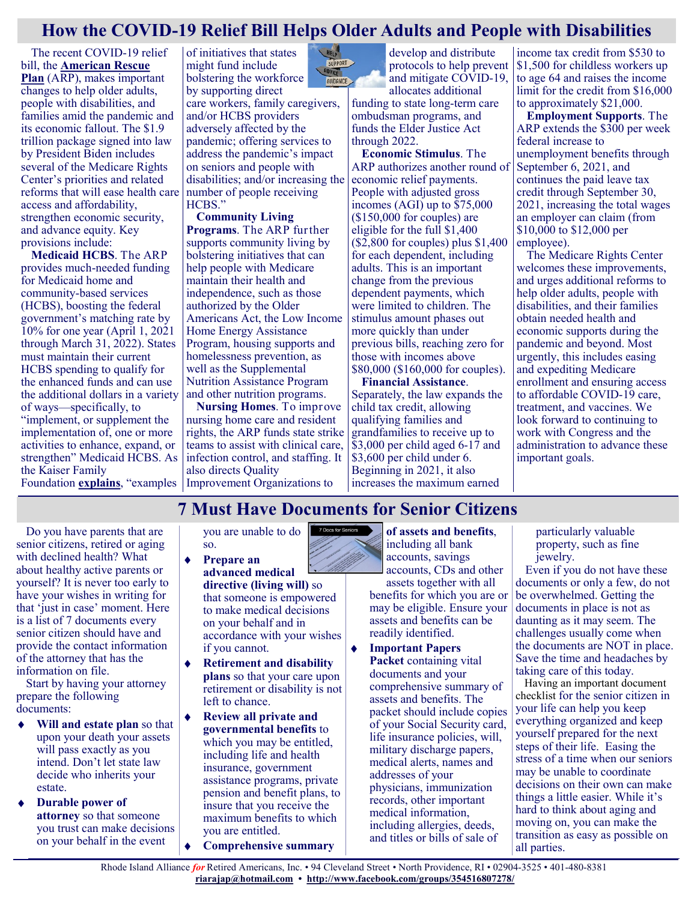## **How the COVID-19 Relief Bill Helps Older Adults and People with Disabilities**

The recent COVID-19 relief bill, the **[American Rescue](https://www.congress.gov/bill/117th-congress/house-bill/1319/text)  [Plan](https://www.congress.gov/bill/117th-congress/house-bill/1319/text)** (ARP), makes important changes to help older adults, people with disabilities, and families amid the pandemic and its economic fallout. The \$1.9 trillion package signed into law by President Biden includes several of the Medicare Rights Center's priorities and related reforms that will ease health care access and affordability, strengthen economic security, and advance equity. Key provisions include:

**Medicaid HCBS**. The ARP provides much-needed funding for Medicaid home and community-based services (HCBS), boosting the federal government's matching rate by 10% for one year (April 1, 2021 through March 31, 2022). States must maintain their current HCBS spending to qualify for the enhanced funds and can use the additional dollars in a variety of ways—specifically, to "implement, or supplement the implementation of, one or more activities to enhance, expand, or strengthen" Medicaid HCBS. As the Kaiser Family

of initiatives that states might fund include bolstering the workforce by supporting direct care workers, family caregivers, and/or HCBS providers adversely affected by the pandemic; offering services to address the pandemic's impact

on seniors and people with disabilities; and/or increasing the number of people receiving HCBS."

**Community Living Programs**. The ARP further supports community living by bolstering initiatives that can help people with Medicare maintain their health and independence, such as those authorized by the Older Americans Act, the Low Income Home Energy Assistance Program, housing supports and homelessness prevention, as well as the Supplemental Nutrition Assistance Program and other nutrition programs.

Foundation **[explains](https://www.kff.org/medicaid/issue-brief/potential-impact-of-additional-federal-funds-for-medicaid-hcbs-for-seniors-and-people-with-disabilities/?eType=EmailBlastContent&eId=6bc6b26d-765a-4194-904e-94fb0b3cbabd)**, "examples Improvement Organizations to **Nursing Homes**. To improve nursing home care and resident rights, the ARP funds state strike teams to assist with clinical care, infection control, and staffing. It also directs Quality



protocols to help prevent and mitigate COVID-19, allocates additional funding to state long-term care ombudsman programs, and

develop and distribute

funds the Elder Justice Act through 2022.

**Economic Stimulus**. The ARP authorizes another round of economic relief payments. People with adjusted gross incomes (AGI) up to \$75,000 (\$150,000 for couples) are eligible for the full \$1,400 (\$2,800 for couples) plus \$1,400 for each dependent, including adults. This is an important change from the previous dependent payments, which were limited to children. The stimulus amount phases out more quickly than under previous bills, reaching zero for those with incomes above \$80,000 (\$160,000 for couples).

**Financial Assistance**. Separately, the law expands the child tax credit, allowing qualifying families and grandfamilies to receive up to \$3,000 per child aged 6-17 and \$3,600 per child under 6. Beginning in 2021, it also increases the maximum earned

income tax credit from \$530 to \$1,500 for childless workers up to age 64 and raises the income limit for the credit from \$16,000 to approximately \$21,000.

**Employment Supports**. The ARP extends the \$300 per week federal increase to unemployment benefits through September 6, 2021, and continues the paid leave tax credit through September 30, 2021, increasing the total wages an employer can claim (from \$10,000 to \$12,000 per employee).

The Medicare Rights Center welcomes these improvements, and urges additional reforms to help older adults, people with disabilities, and their families obtain needed health and economic supports during the pandemic and beyond. Most urgently, this includes easing and expediting Medicare enrollment and ensuring access to affordable COVID-19 care, treatment, and vaccines. We look forward to continuing to work with Congress and the administration to advance these important goals.

## **7 Must Have Documents for Senior Citizens**

 $\bullet$ 

7 Docs for Seniors

Do you have parents that are senior citizens, retired or aging with declined health? What about healthy active parents or yourself? It is never too early to have your wishes in writing for that 'just in case' moment. Here is a list of 7 documents every senior citizen should have and provide the contact information of the attorney that has the information on file.

Start by having your attorney prepare the following documents:

- **Will and estate plan** so that upon your death your assets will pass exactly as you intend. Don't let state law decide who inherits your estate.
- **Durable power of attorney** so that someone you trust can make decisions on your behalf in the event

you are unable to do so.

- $\bullet$ **Prepare an advanced medical directive (living will)** so that someone is empowered to make medical decisions on your behalf and in accordance with your wishes if you cannot.
- **Retirement and disability plans** so that your care upon retirement or disability is not left to chance.
- **Review all private and governmental benefits** to which you may be entitled, including life and health insurance, government assistance programs, private pension and benefit plans, to insure that you receive the maximum benefits to which you are entitled.
- **Comprehensive summary**

**of assets and benefits**, including all bank accounts, savings accounts, CDs and other assets together with all benefits for which you are or may be eligible. Ensure your assets and benefits can be readily identified.

**Important Papers Packet** containing vital documents and your comprehensive summary of assets and benefits. The packet should include copies of your Social Security card, life insurance policies, will, military discharge papers, medical alerts, names and addresses of your physicians, immunization records, other important medical information, including allergies, deeds, and titles or bills of sale of

particularly valuable property, such as fine jewelry.

Even if you do not have these documents or only a few, do not be overwhelmed. Getting the documents in place is not as daunting as it may seem. The challenges usually come when the documents are NOT in place. Save the time and headaches by taking care of this today.

Having an important document checklist for the senior citizen in your life can help you keep everything organized and keep yourself prepared for the next steps of their life. Easing the stress of a time when our seniors may be unable to coordinate decisions on their own can make things a little easier. While it's hard to think about aging and moving on, you can make the transition as easy as possible on all parties.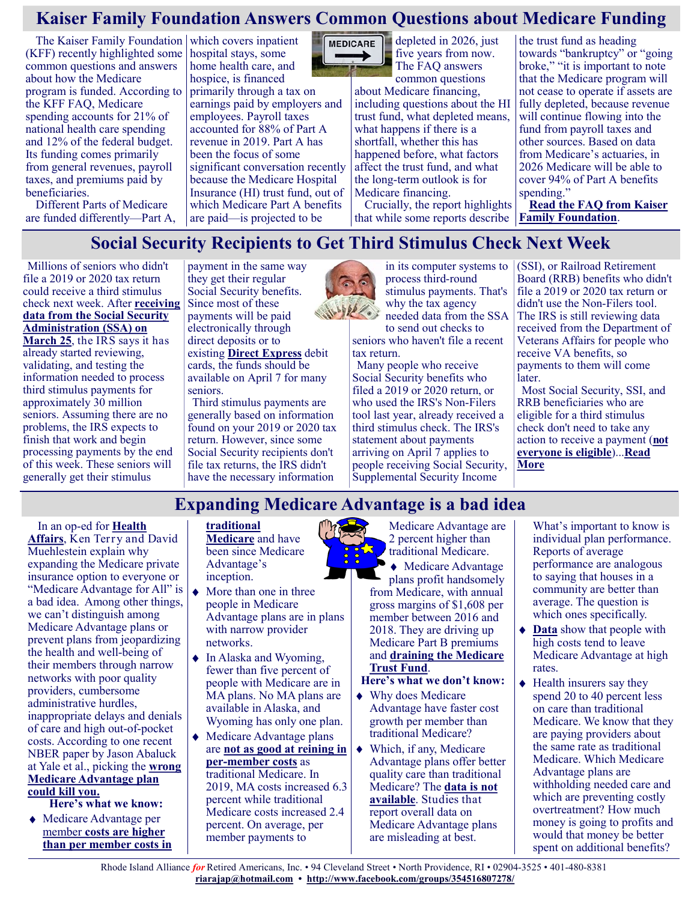# **Kaiser Family Foundation Answers Common Questions about Medicare Funding**

The Kaiser Family Foundation which covers inpatient (KFF) recently highlighted some common questions and answers about how the Medicare program is funded. According to the KFF FAQ, Medicare spending accounts for 21% of national health care spending and 12% of the federal budget. Its funding comes primarily from general revenues, payroll taxes, and premiums paid by beneficiaries.

Different Parts of Medicare are funded differently—Part A, hospital stays, some home health care, and hospice, is financed primarily through a tax on earnings paid by employers and employees. Payroll taxes accounted for 88% of Part A revenue in 2019. Part A has been the focus of some significant conversation recently because the Medicare Hospital Insurance (HI) trust fund, out of which Medicare Part A benefits are paid—is projected to be



MEDICARE **depleted** in 2026, just five years from now. The FAQ answers

common questions about Medicare financing, including questions about the HI trust fund, what depleted means, what happens if there is a shortfall, whether this has happened before, what factors affect the trust fund, and what the long-term outlook is for Medicare financing.

Crucially, the report highlights that while some reports describe **[Family Foundation](https://www.kff.org/medicare/issue-brief/faqs-on-medicare-financing-and-trust-fund-solvency/)**.

the trust fund as heading towards "bankruptcy" or "going broke," "it is important to note that the Medicare program will not cease to operate if assets are fully depleted, because revenue will continue flowing into the fund from payroll taxes and other sources. Based on data from Medicare's actuaries, in 2026 Medicare will be able to cover 94% of Part A benefits spending."

**[Read the FAQ from Kaiser](https://www.kff.org/medicare/issue-brief/faqs-on-medicare-financing-and-trust-fund-solvency/)** 

## **Social Security Recipients to Get Third Stimulus Check Next Week**

Millions of seniors who didn't file a 2019 or 2020 tax return could receive a third stimulus check next week. After **[receiving](https://www.kiplinger.com/retirement/social-security/602504/social-security-recipients-to-get-delayed-third-stimulus-checks-after-ssa-sends-data-to-irs)  [data from the Social Security](https://www.kiplinger.com/retirement/social-security/602504/social-security-recipients-to-get-delayed-third-stimulus-checks-after-ssa-sends-data-to-irs)  [Administration \(SSA\) on](https://www.kiplinger.com/retirement/social-security/602504/social-security-recipients-to-get-delayed-third-stimulus-checks-after-ssa-sends-data-to-irs)  [March 25](https://www.kiplinger.com/retirement/social-security/602504/social-security-recipients-to-get-delayed-third-stimulus-checks-after-ssa-sends-data-to-irs)**, the IRS says it has already started reviewing, validating, and testing the information needed to process third stimulus payments for approximately 30 million seniors. Assuming there are no problems, the IRS expects to finish that work and begin processing payments by the end of this week. These seniors will generally get their stimulus

payment in the same way they get their regular Social Security benefits. Since most of these payments will be paid electronically through direct deposits or to existing **[Direct Express](https://www.fiscal.treasury.gov/directexpress/)** debit cards, the funds should be available on April 7 for many seniors.

Third stimulus payments are generally based on information found on your 2019 or 2020 tax return. However, since some Social Security recipients don't file tax returns, the IRS didn't have the necessary information



in its computer systems to process third-round stimulus payments. That's why the tax agency needed data from the SSA to send out checks to

seniors who haven't file a recent tax return.

Many people who receive Social Security benefits who filed a 2019 or 2020 return, or who used the IRS's Non-Filers tool last year, already received a third stimulus check. The IRS's statement about payments arriving on April 7 applies to people receiving Social Security, Supplemental Security Income

(SSI), or Railroad Retirement Board (RRB) benefits who didn't file a 2019 or 2020 tax return or didn't use the Non-Filers tool. The IRS is still reviewing data received from the Department of Veterans Affairs for people who receive VA benefits, so payments to them will come later.

Most Social Security, SSI, and RRB beneficiaries who are eligible for a third stimulus check don't need to take any action to receive a payment (**[not](https://www.kiplinger.com/taxes/602421/who-wont-get-a-third-stimulus-check-not-everyone-is-eligible)  [everyone is eligible](https://www.kiplinger.com/taxes/602421/who-wont-get-a-third-stimulus-check-not-everyone-is-eligible)**)...**[Read](https://www.msn.com/en-us/money/personalfinance/social-security-recipients-to-get-third-stimulus-check-next-week/ar-BB1f8n0S?ocid=SK2DDHP)  [More](https://www.msn.com/en-us/money/personalfinance/social-security-recipients-to-get-third-stimulus-check-next-week/ar-BB1f8n0S?ocid=SK2DDHP)**

# **Expanding Medicare Advantage is a bad idea**

In an op-ed for **[Health](https://www.healthaffairs.org/do/10.1377/hblog20210304.136304/full/)  [Affairs](https://www.healthaffairs.org/do/10.1377/hblog20210304.136304/full/)**, Ken Terry and David Muehlestein explain why expanding the Medicare private insurance option to everyone or "Medicare Advantage for All" is a bad idea. Among other things, we can't distinguish among Medicare Advantage plans or prevent plans from jeopardizing the health and well-being of their members through narrow networks with poor quality providers, cumbersome administrative hurdles, inappropriate delays and denials of care and high out-of-pocket costs. According to one recent NBER paper by Jason Abaluck at Yale et al., picking the **[wrong](https://justcareusa.org/the-wrong-choice-of-medicare-advantage-plan-could-kill-you/)  [Medicare Advantage plan](https://justcareusa.org/the-wrong-choice-of-medicare-advantage-plan-could-kill-you/)  [could kill you.](https://justcareusa.org/the-wrong-choice-of-medicare-advantage-plan-could-kill-you/)**

**Here's what we know:**

Medicare Advantage per member **[costs are higher](https://justcareusa.org/medpac-traditional-medicare-consistently-costs-less-than-medicare-advantage/)  [than per member costs in](https://justcareusa.org/medpac-traditional-medicare-consistently-costs-less-than-medicare-advantage/)** 

#### **[traditional](https://justcareusa.org/medpac-traditional-medicare-consistently-costs-less-than-medicare-advantage/)  [Medicare](https://justcareusa.org/medpac-traditional-medicare-consistently-costs-less-than-medicare-advantage/)** and have been since Medicare Advantage's

- inception. More than one in three people in Medicare Advantage plans are in plans with narrow provider networks.
- ◆ In Alaska and Wyoming, fewer than five percent of people with Medicare are in MA plans. No MA plans are available in Alaska, and Wyoming has only one plan.
- ◆ Medicare Advantage plans are **[not as good at reining in](https://www.healthaffairs.org/doi/abs/10.1377/hlthaff.2020.02022?journalCode=hlthaff)  per-[member costs](https://www.healthaffairs.org/doi/abs/10.1377/hlthaff.2020.02022?journalCode=hlthaff)** as traditional Medicare. In 2019, MA costs increased 6.3 percent while traditional Medicare costs increased 2.4 percent. On average, per member payments to

Medicare Advantage are 2 percent higher than traditional Medicare.

Medicare Advantage plans profit handsomely from Medicare, with annual gross margins of \$1,608 per member between 2016 and 2018. They are driving up Medicare Part B premiums and **[draining the Medicare](https://www.commonwealthfund.org/blog/2021/options-extending-medicares-trust-fund-commonwealth-fund-solvency-series)  [Trust Fund](https://www.commonwealthfund.org/blog/2021/options-extending-medicares-trust-fund-commonwealth-fund-solvency-series)**.

#### **Here's what we don't know:**

Why does Medicare Advantage have faster cost growth per member than traditional Medicare?

Which, if any, Medicare Advantage plans offer better quality care than traditional Medicare? The **[data is not](https://www.ncbi.nlm.nih.gov/pmc/articles/PMC4089375/pdf/milq0092-0351.pdf)  [available](https://www.ncbi.nlm.nih.gov/pmc/articles/PMC4089375/pdf/milq0092-0351.pdf)**. Studies that report overall data on Medicare Advantage plans are misleading at best.

What's important to know is individual plan performance. Reports of average performance are analogous to saying that houses in a community are better than average. The question is which ones specifically.

- ◆ **[Data](https://www.healthaffairs.org/doi/10.1377/hlthaff.2015.0272)** show that people with high costs tend to leave Medicare Advantage at high rates.
- $\triangleleft$  Health insurers say they spend 20 to 40 percent less on care than traditional Medicare. We know that they are paying providers about the same rate as traditional Medicare. Which Medicare Advantage plans are withholding needed care and which are preventing costly overtreatment? How much money is going to profits and would that money be better spent on additional benefits?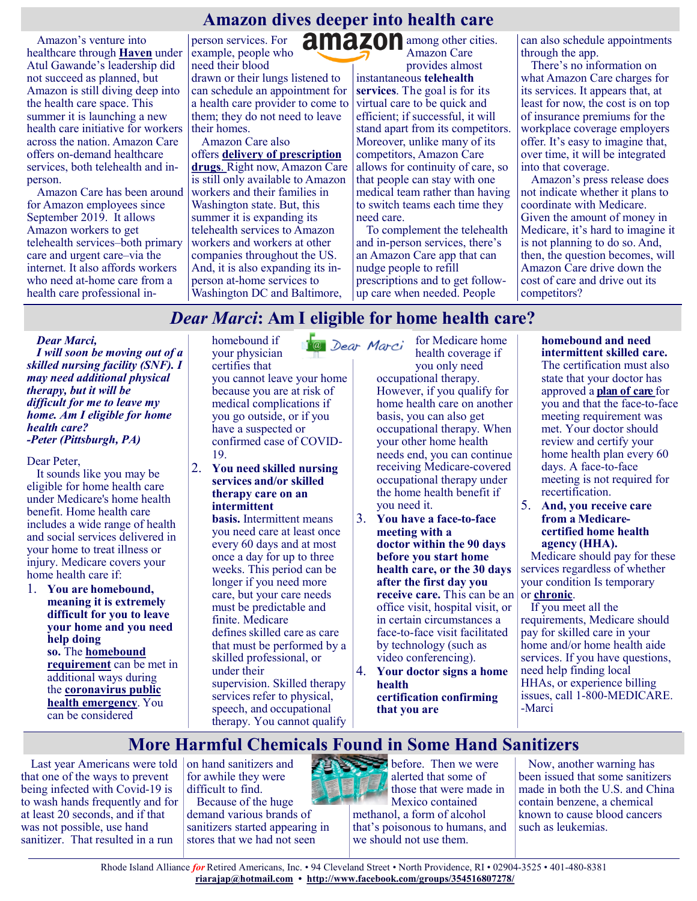# **Amazon dives deeper into health care**

Amazon's venture into healthcare through **[Haven](https://justcareusa.org/why-did-amazons-health-care-venture-fail/)** under Atul Gawande's leadership did not succeed as planned, but Amazon is still diving deep into the health care space. This summer it is launching a new health care initiative for workers across the nation. Amazon Care offers on-demand healthcare services, both telehealth and inperson.

Amazon Care has been around for Amazon employees since September 2019. It allows Amazon workers to get telehealth services–both primary care and urgent care–via the internet. It also affords workers who need at-home care from a health care professional inperson services. For example, people who need their blood drawn or their lungs listened to can schedule an appointment for a health care provider to come to them; they do not need to leave their homes.

Amazon Care also offers **[delivery of prescription](https://justcareusa.org/amazon-will-now-sell-prescription-drugs/)  [drugs](https://justcareusa.org/amazon-will-now-sell-prescription-drugs/)**. Right now, Amazon Care is still only available to Amazon workers and their families in Washington state. But, this summer it is expanding its telehealth services to Amazon workers and workers at other companies throughout the US. And, it is also expanding its inperson at-home services to Washington DC and Baltimore,

amazon among other cities. Amazon Care provides almost

instantaneous **[telehealth](https://justcareusa.org/coronavirus-older-adults-take-full-advantage-of-medicare-telehealth-benefit/)  [services](https://justcareusa.org/coronavirus-older-adults-take-full-advantage-of-medicare-telehealth-benefit/)**. The goal is for its virtual care to be quick and efficient; if successful, it will stand apart from its competitors. Moreover, unlike many of its competitors, Amazon Care allows for continuity of care, so that people can stay with one medical team rather than having to switch teams each time they need care.

To complement the telehealth and in-person services, there's an Amazon Care app that can nudge people to refill prescriptions and to get followup care when needed. People

can also schedule appointments through the app.

There's no information on what Amazon Care charges for its services. It appears that, at least for now, the cost is on top of insurance premiums for the workplace coverage employers offer. It's easy to imagine that, over time, it will be integrated into that coverage.

Amazon's press release does not indicate whether it plans to coordinate with Medicare. Given the amount of money in Medicare, it's hard to imagine it is not planning to do so. And, then, the question becomes, will Amazon Care drive down the cost of care and drive out its competitors?

# *Dear Marci***: Am I eligible for home health care?**

#### *Dear Marci,*

*I will soon be moving out of a skilled nursing facility (SNF). I may need additional physical therapy, but it will be difficult for me to leave my home. Am I eligible for home health care? -Peter (Pittsburgh, PA)*

Dear Peter,

It sounds like you may be eligible for home health care under Medicare's home health benefit. Home health care includes a wide range of health and social services delivered in your home to treat illness or injury. Medicare covers your home health care if:

1. **You are homebound, meaning it is extremely difficult for you to leave your home and you need help doing so.** The **[homebound](https://medicarerights.us15.list-manage.com/track/click?u=1621f54a596f3717c22815356&id=0d94b65106&e=88d22ba1fe)  [requirement](https://medicarerights.us15.list-manage.com/track/click?u=1621f54a596f3717c22815356&id=0d94b65106&e=88d22ba1fe)** can be met in additional ways during the **[coronavirus public](https://medicarerights.us15.list-manage.com/track/click?u=1621f54a596f3717c22815356&id=e682fd8d94&e=88d22ba1fe)  [health emergency](https://medicarerights.us15.list-manage.com/track/click?u=1621f54a596f3717c22815356&id=e682fd8d94&e=88d22ba1fe)**. You can be considered

homebound if your physician certifies that you cannot leave your home because you are at risk of medical complications if you go outside, or if you have a suspected or confirmed case of COVID-19.

2. **You need skilled nursing services and/or skilled therapy care on an intermittent** 

> **basis.** Intermittent means you need care at least once every 60 days and at most once a day for up to three weeks. This period can be longer if you need more care, but your care needs must be predictable and finite. Medicare defines skilled care as care that must be performed by a skilled professional, or under their supervision. Skilled therapy services refer to physical, speech, and occupational therapy. You cannot qualify

for Medicare home @ Dear Marci health coverage if you only need occupational therapy. However, if you qualify for home health care on another basis, you can also get occupational therapy. When your other home health needs end, you can continue receiving Medicare-covered occupational therapy under the home health benefit if you need it.

- 3. **You have a face-to-face meeting with a doctor within the 90 days before you start home health care, or the 30 days after the first day you receive care.** This can be an office visit, hospital visit, or in certain circumstances a face-to-face visit facilitated by technology (such as video conferencing).
- 4. **Your doctor signs a home health certification confirming that you are**

**homebound and need intermittent skilled care.** The certification must also state that your doctor has approved a **[plan of care](https://medicarerights.us15.list-manage.com/track/click?u=1621f54a596f3717c22815356&id=cc4be19794&e=88d22ba1fe)**for you and that the face-to-face meeting requirement was met. Your doctor should review and certify your home health plan every 60 days. A face-to-face meeting is not required for recertification.

5. **And, you receive care from a Medicarecertified home health agency (HHA).**

Medicare should pay for these services regardless of whether your condition Is temporary or **[chronic](https://medicarerights.us15.list-manage.com/track/click?u=1621f54a596f3717c22815356&id=ea7181f87b&e=88d22ba1fe)**.

If you meet all the requirements, Medicare should pay for skilled care in your home and/or home health aide services. If you have questions, need help finding local HHAs, or experience billing issues, call 1-800-MEDICARE. -Marci

# **More Harmful Chemicals Found in Some Hand Sanitizers**

Last year Americans were told on hand sanitizers and that one of the ways to prevent being infected with Covid-19 is to wash hands frequently and for at least 20 seconds, and if that was not possible, use hand sanitizer. That resulted in a run

for awhile they were difficult to find. Because of the huge

demand various brands of sanitizers started appearing in stores that we had not seen



**before.** Then we were alerted that some of those that were made in Mexico contained

methanol, a form of alcohol that's poisonous to humans, and we should not use them.

Now, another warning has been issued that some sanitizers made in both the U.S. and China contain benzene, a chemical known to cause blood cancers such as leukemias.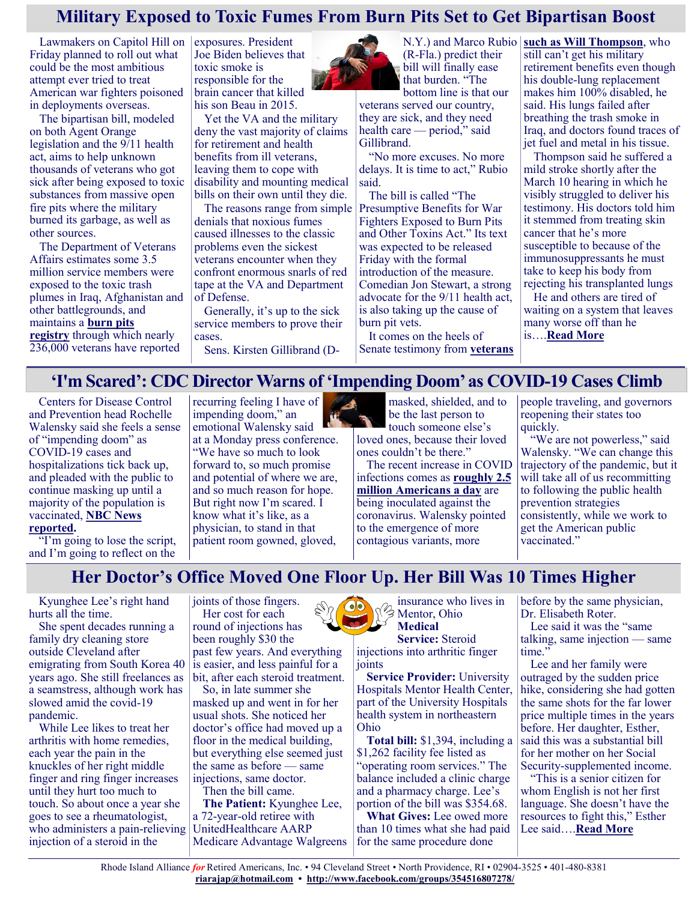## **Military Exposed to Toxic Fumes From Burn Pits Set to Get Bipartisan Boost**

Lawmakers on Capitol Hill on Friday planned to roll out what could be the most ambitious attempt ever tried to treat American war fighters poisoned in deployments overseas.

The bipartisan bill, modeled on both Agent Orange legislation and the 9/11 health act, aims to help unknown thousands of veterans who got sick after being exposed to toxic substances from massive open fire pits where the military burned its garbage, as well as other sources.

The Department of Veterans Affairs estimates some 3.5 million service members were exposed to the toxic trash plumes in Iraq, Afghanistan and other battlegrounds, and maintains a **[burn pits](https://veteran.mobilehealth.va.gov/AHBurnPitRegistry/#page/home)  [registry](https://veteran.mobilehealth.va.gov/AHBurnPitRegistry/#page/home)** through which nearly 236,000 veterans have reported

exposures. President Joe Biden believes that toxic smoke is responsible for the brain cancer that killed his son Beau in 2015.

Yet the VA and the military deny the vast majority of claims for retirement and health benefits from ill veterans, leaving them to cope with disability and mounting medical bills on their own until they die.

The reasons range from simple denials that noxious fumes caused illnesses to the classic problems even the sickest veterans encounter when they confront enormous snarls of red tape at the VA and Department of Defense.

Generally, it's up to the sick service members to prove their cases.

Sens. Kirsten Gillibrand (D-



(R-Fla.) predict their bill will finally ease that burden. "The bottom line is that our

veterans served our country, they are sick, and they need health care — period," said Gillibrand.

"No more excuses. No more delays. It is time to act," Rubio said.

The bill is called "The Presumptive Benefits for War Fighters Exposed to Burn Pits and Other Toxins Act." Its text was expected to be released Friday with the formal introduction of the measure. Comedian Jon Stewart, a strong advocate for the 9/11 health act, is also taking up the cause of burn pit vets.

It comes on the heels of Senate testimony from **[veterans](https://khn.org/news/article/military-veteran-toxic-exposure-burn-pits-health-care-benefits-lung-disease/)** 

N.Y.) and Marco Rubio **[such as Will Thompson](https://khn.org/news/article/military-veteran-toxic-exposure-burn-pits-health-care-benefits-lung-disease/)**, who still can't get his military retirement benefits even though his double-lung replacement makes him 100% disabled, he said. His lungs failed after breathing the trash smoke in Iraq, and doctors found traces of jet fuel and metal in his tissue.

Thompson said he suffered a mild stroke shortly after the March 10 hearing in which he visibly struggled to deliver his testimony. His doctors told him it stemmed from treating skin cancer that he's more susceptible to because of the immunosuppressants he must take to keep his body from rejecting his transplanted lungs

He and others are tired of waiting on a system that leaves many worse off than he is….**[Read More](https://khn.org/news/article/military-service-members-veterans-exposed-to-burn-pits-toxic-fumes-bipartisan-legislation/)**

### **'I'm Scared': CDC Director Warns of 'Impending Doom' as COVID-19 Cases Climb**

Centers for Disease Control and Prevention head Rochelle Walensky said she feels a sense of "impending doom" as COVID-19 cases and hospitalizations tick back up, and pleaded with the public to continue masking up until a majority of the population is vaccinated, **[NBC News](https://www.nbcnews.com/politics/white-house/cdc-director-warns-impending-doom-covid-cases-rise-n1262355)  [reported.](https://www.nbcnews.com/politics/white-house/cdc-director-warns-impending-doom-covid-cases-rise-n1262355)**

"I'm going to lose the script, and I'm going to reflect on the

recurring feeling I have of impending doom," an emotional Walensky said at a Monday press conference. "We have so much to look forward to, so much promise and potential of where we are, and so much reason for hope. But right now I'm scared. I know what it's like, as a physician, to stand in that patient room gowned, gloved,



be the last person to touch someone else's loved ones, because their loved

ones couldn't be there." The recent increase in COVID infections comes as **[roughly 2.5](https://www.washingtonpost.com/nation/2021/03/26/coronavirus-covid-live-updates-us/)** 

**[million Americans a day](https://www.washingtonpost.com/nation/2021/03/26/coronavirus-covid-live-updates-us/)** are being inoculated against the coronavirus. Walensky pointed to the emergence of more contagious variants, more

people traveling, and governors reopening their states too quickly.

"We are not powerless," said Walensky. "We can change this trajectory of the pandemic, but it will take all of us recommitting to following the public health prevention strategies consistently, while we work to get the American public vaccinated."

**Her Doctor's Office Moved One Floor Up. Her Bill Was 10 Times Higher**

Kyunghee Lee's right hand hurts all the time.

She spent decades running a family dry cleaning store outside Cleveland after emigrating from South Korea 40 years ago. She still freelances as a seamstress, although work has slowed amid the covid-19 pandemic.

While Lee likes to treat her arthritis with home remedies, each year the pain in the knuckles of her right middle finger and ring finger increases until they hurt too much to touch. So about once a year she goes to see a rheumatologist, who administers a pain-relieving injection of a steroid in the

joints of those fingers. Her cost for each round of injections has been roughly \$30 the past few years. And everything is easier, and less painful for a bit, after each steroid treatment.

So, in late summer she masked up and went in for her usual shots. She noticed her doctor's office had moved up a floor in the medical building, but everything else seemed just the same as before — same injections, same doctor.

Then the bill came.

**The Patient:** Kyunghee Lee, a 72-year-old retiree with UnitedHealthcare AARP Medicare Advantage Walgreens



insurance who lives in Mentor, Ohio **Medical Service:** Steroid

injections into arthritic finger joints

**Service Provider:** University Hospitals Mentor Health Center, part of the University Hospitals health system in northeastern Ohio

**Total bill:** \$1,394, including a \$1,262 facility fee listed as "operating room services." The balance included a clinic charge and a pharmacy charge. Lee's portion of the bill was \$354.68.

**What Gives:** Lee owed more than 10 times what she had paid for the same procedure done

before by the same physician, Dr. Elisabeth Roter.

Lee said it was the "same talking, same injection — same time."

Lee and her family were outraged by the sudden price hike, considering she had gotten the same shots for the far lower price multiple times in the years before. Her daughter, Esther, said this was a substantial bill for her mother on her Social Security-supplemented income.

"This is a senior citizen for whom English is not her first language. She doesn't have the resources to fight this," Esther Lee said….**[Read More](https://khn.org/news/article/bill-of-the-month-hospital-facility-fee-outpatient-arthritis-injections/)**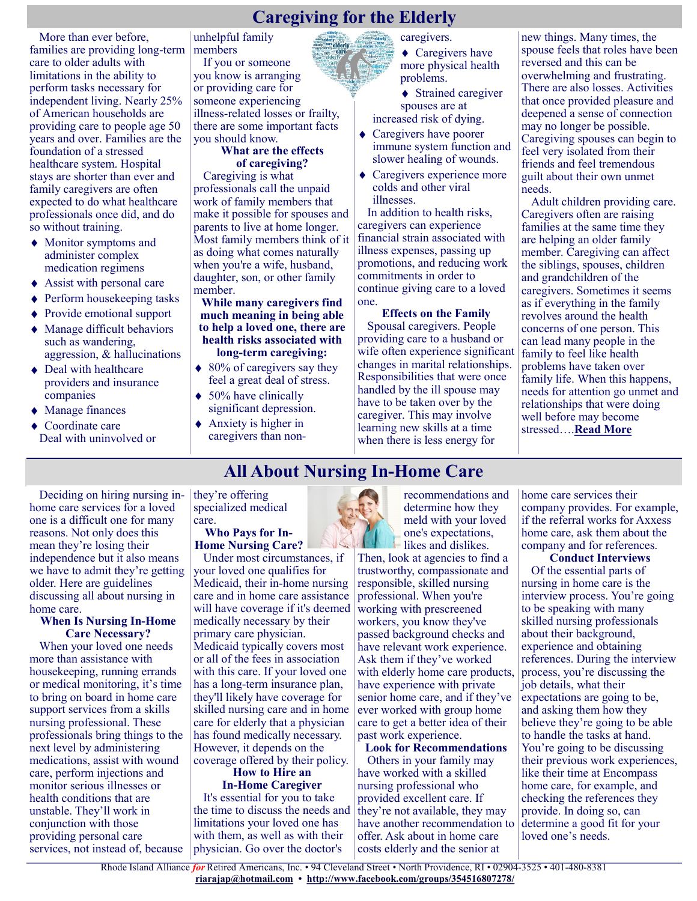## **Caregiving for the Elderly**

More than ever before, families are providing long-term care to older adults with limitations in the ability to perform tasks necessary for independent living. Nearly 25% of American households are providing care to people age 50 years and over. Families are the foundation of a stressed healthcare system. Hospital stays are shorter than ever and family caregivers are often expected to do what healthcare professionals once did, and do so without training.

- Monitor symptoms and administer complex medication regimens
- ◆ Assist with personal care
- ◆ Perform housekeeping tasks
- Provide emotional support
- Manage difficult behaviors such as wandering, aggression, & hallucinations
- ◆ Deal with healthcare providers and insurance companies
- ◆ Manage finances ◆ Coordinate care

Deal with uninvolved or

unhelpful family members

If you or someone you know is arranging or providing care for someone experiencing illness-related losses or frailty, there are some important facts you should know.

#### **What are the effects of caregiving?**

Caregiving is what professionals call the unpaid work of family members that make it possible for spouses and parents to live at home longer. Most family members think of it as doing what comes naturally when you're a wife, husband, daughter, son, or other family member.

**While many caregivers find much meaning in being able to help a loved one, there are health risks associated with long-term caregiving:**

- $\triangle$  80% of caregivers say they feel a great deal of stress.
- $\triangleleft$  50% have clinically significant depression.
- ◆ Anxiety is higher in caregivers than non-

caregivers.

◆ Caregivers have more physical health problems.

◆ Strained caregiver spouses are at increased risk of dying.

- ◆ Caregivers have poorer immune system function and slower healing of wounds.
- ◆ Caregivers experience more colds and other viral illnesses.

In addition to health risks, caregivers can experience financial strain associated with illness expenses, passing up promotions, and reducing work commitments in order to continue giving care to a loved one.

#### **Effects on the Family**

Spousal caregivers. People providing care to a husband or wife often experience significant changes in marital relationships. Responsibilities that were once handled by the ill spouse may have to be taken over by the caregiver. This may involve learning new skills at a time when there is less energy for

new things. Many times, the spouse feels that roles have been reversed and this can be overwhelming and frustrating. There are also losses. Activities that once provided pleasure and deepened a sense of connection may no longer be possible. Caregiving spouses can begin to feel very isolated from their friends and feel tremendous guilt about their own unmet needs.

Adult children providing care. Caregivers often are raising families at the same time they are helping an older family member. Caregiving can affect the siblings, spouses, children and grandchildren of the caregivers. Sometimes it seems as if everything in the family revolves around the health concerns of one person. This can lead many people in the family to feel like health problems have taken over family life. When this happens, needs for attention go unmet and relationships that were doing well before may become stressed….**[Read More](https://www.aamft.org/Consumer_Updates/Caregiving_for_the_Elderly.aspx#:~:text=Caregiving%20for%20the%20Elderly%20More%20than%20ever%20before%2C,are%20the%20foundation%20of%20a%20stressed%20healthcare%20system.)**

# **All About Nursing In-Home Care**

Deciding on hiring nursing inhome care services for a loved one is a difficult one for many reasons. Not only does this mean they're losing their independence but it also means we have to admit they're getting older. Here are guidelines discussing all about nursing in home care.

#### **When Is Nursing In-Home Care Necessary?**

When your loved one needs more than assistance with housekeeping, running errands or medical monitoring, it's time to bring on board in home care support services from a skills nursing professional. These professionals bring things to the next level by administering medications, assist with wound care, perform injections and monitor serious illnesses or health conditions that are unstable. They'll work in conjunction with those providing personal care services, not instead of, because they're offering specialized medical care.

#### **Who Pays for In-Home Nursing Care?**

Under most circumstances, if your loved one qualifies for Medicaid, their in-home nursing care and in home care assistance will have coverage if it's deemed medically necessary by their primary care physician. Medicaid typically covers most or all of the fees in association with this care. If your loved one has a long-term insurance plan, they'll likely have coverage for skilled nursing care and in home care for elderly that a physician has found medically necessary. However, it depends on the coverage offered by their policy.

#### **How to Hire an In-Home Caregiver**

It's essential for you to take the time to discuss the needs and limitations your loved one has with them, as well as with their physician. Go over the doctor's



recommendations and determine how they meld with your loved one's expectations, likes and dislikes.

Then, look at agencies to find a trustworthy, compassionate and responsible, skilled nursing professional. When you're working with prescreened workers, you know they've passed background checks and have relevant work experience. Ask them if they've worked with elderly home care products, have experience with private senior home care, and if they've ever worked with group home care to get a better idea of their past work experience.

**Look for Recommendations** Others in your family may have worked with a skilled nursing professional who provided excellent care. If they're not available, they may have another recommendation to offer. Ask about in home care costs elderly and the senior at

home care services their company provides. For example, if the referral works for Axxess home care, ask them about the company and for references.

**Conduct Interviews** Of the essential parts of nursing in home care is the interview process. You're going to be speaking with many skilled nursing professionals about their background, experience and obtaining references. During the interview process, you're discussing the job details, what their expectations are going to be, and asking them how they believe they're going to be able to handle the tasks at hand. You're going to be discussing their previous work experiences, like their time at Encompass home care, for example, and checking the references they provide. In doing so, can determine a good fit for your loved one's needs.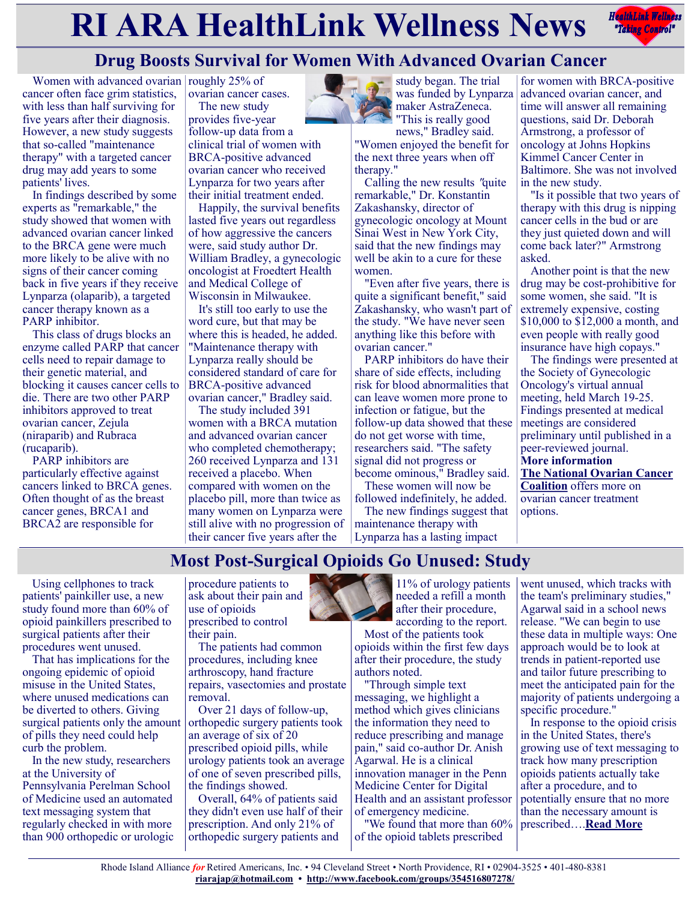# **RIARA HealthLink Wellness News** *<b>Redistribles Redistribles*



# **Drug Boosts Survival for Women With Advanced Ovarian Cancer**

Women with advanced ovarian roughly  $25%$  of cancer often face grim statistics, with less than half surviving for five years after their diagnosis. However, a new study suggests that so-called "maintenance therapy" with a targeted cancer drug may add years to some patients' lives.

In findings described by some experts as "remarkable," the study showed that women with advanced ovarian cancer linked to the BRCA gene were much more likely to be alive with no signs of their cancer coming back in five years if they receive Lynparza (olaparib), a targeted cancer therapy known as a PARP inhibitor.

This class of drugs blocks an enzyme called PARP that cancer cells need to repair damage to their genetic material, and blocking it causes cancer cells to die. There are two other PARP inhibitors approved to treat ovarian cancer, Zejula (niraparib) and Rubraca (rucaparib).

PARP inhibitors are particularly effective against cancers linked to BRCA genes. Often thought of as the breast cancer genes, BRCA1 and BRCA2 are responsible for

ovarian cancer cases. The new study

provides five-year follow-up data from a clinical trial of women with BRCA-positive advanced ovarian cancer who received Lynparza for two years after their initial treatment ended.

Happily, the survival benefits lasted five years out regardless of how aggressive the cancers were, said study author Dr. William Bradley, a gynecologic oncologist at Froedtert Health and Medical College of Wisconsin in Milwaukee.

It's still too early to use the word cure, but that may be where this is headed, he added. "Maintenance therapy with Lynparza really should be considered standard of care for BRCA-positive advanced ovarian cancer," Bradley said.

The study included 391 women with a BRCA mutation and advanced ovarian cancer who completed chemotherapy; 260 received Lynparza and 131 received a placebo. When compared with women on the placebo pill, more than twice as many women on Lynparza were still alive with no progression of their cancer five years after the



news," Bradley said. "Women enjoyed the benefit for the next three years when off therapy."

Calling the new results "quite remarkable," Dr. Konstantin Zakashansky, director of gynecologic oncology at Mount Sinai West in New York City, said that the new findings may well be akin to a cure for these women.

"Even after five years, there is quite a significant benefit," said Zakashansky, who wasn't part of the study. "We have never seen anything like this before with ovarian cancer."

PARP inhibitors do have their share of side effects, including risk for blood abnormalities that can leave women more prone to infection or fatigue, but the follow-up data showed that these do not get worse with time, researchers said. "The safety signal did not progress or become ominous," Bradley said.

These women will now be followed indefinitely, he added.

The new findings suggest that maintenance therapy with Lynparza has a lasting impact

for women with BRCA-positive advanced ovarian cancer, and time will answer all remaining questions, said Dr. Deborah Armstrong, a professor of oncology at Johns Hopkins Kimmel Cancer Center in Baltimore. She was not involved in the new study.

"Is it possible that two years of therapy with this drug is nipping cancer cells in the bud or are they just quieted down and will come back later?" Armstrong asked.

Another point is that the new drug may be cost-prohibitive for some women, she said. "It is extremely expensive, costing \$10,000 to \$12,000 a month, and even people with really good insurance have high copays."

The findings were presented at the Society of Gynecologic Oncology's virtual annual meeting, held March 19-25. Findings presented at medical meetings are considered preliminary until published in a peer-reviewed journal. **More information [The National Ovarian Cancer](https://www.ovarian.org/about-ovarian-cancer/treatment)  [Coalition](https://www.ovarian.org/about-ovarian-cancer/treatment)** offers more on ovarian cancer treatment options.

# **Most Post-Surgical Opioids Go Unused: Study**

Using cellphones to track patients' painkiller use, a new study found more than 60% of opioid painkillers prescribed to surgical patients after their procedures went unused.

That has implications for the ongoing epidemic of opioid misuse in the United States, where unused medications can be diverted to others. Giving surgical patients only the amount of pills they need could help curb the problem.

In the new study, researchers at the University of Pennsylvania Perelman School of Medicine used an automated text messaging system that regularly checked in with more than 900 orthopedic or urologic

procedure patients to ask about their pain and use of opioids prescribed to control their pain.

The patients had common procedures, including knee arthroscopy, hand fracture repairs, vasectomies and prostate removal.

Over 21 days of follow-up, orthopedic surgery patients took an average of six of 20 prescribed opioid pills, while urology patients took an average of one of seven prescribed pills, the findings showed.

Overall, 64% of patients said they didn't even use half of their prescription. And only 21% of orthopedic surgery patients and



11% of urology patients needed a refill a month after their procedure, according to the report.

Most of the patients took opioids within the first few days after their procedure, the study authors noted.

"Through simple text messaging, we highlight a method which gives clinicians the information they need to reduce prescribing and manage pain," said co-author Dr. Anish Agarwal. He is a clinical innovation manager in the Penn Medicine Center for Digital Health and an assistant professor of emergency medicine.

"We found that more than 60% of the opioid tablets prescribed

went unused, which tracks with the team's preliminary studies," Agarwal said in a school news release. "We can begin to use these data in multiple ways: One approach would be to look at trends in patient-reported use and tailor future prescribing to meet the anticipated pain for the majority of patients undergoing a specific procedure."

In response to the opioid crisis in the United States, there's growing use of text messaging to track how many prescription opioids patients actually take after a procedure, and to potentially ensure that no more than the necessary amount is prescribed….**[Read More](https://consumer.healthday.com/b-3-26-most-post-surgical-opioids-go-unused-study-2651181390.html)**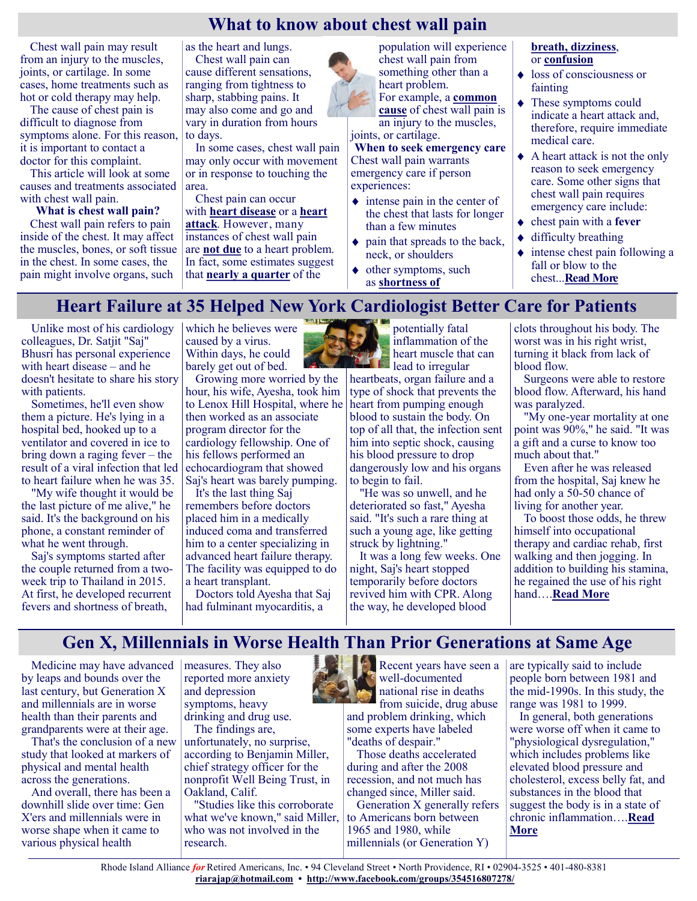## **What to know about chest wall pain**

Chest wall pain may result from an injury to the muscles, joints, or cartilage. In some cases, home treatments such as hot or cold therapy may help.

The cause of chest pain is difficult to diagnose from symptoms alone. For this reason, it is important to contact a doctor for this complaint.

This article will look at some causes and treatments associated with chest wall pain.

**What is chest wall pain?** Chest wall pain refers to pain

inside of the chest. It may affect the muscles, bones, or soft tissue in the chest. In some cases, the pain might involve organs, such

as the heart and lungs.

Chest wall pain can cause different sensations, ranging from tightness to sharp, stabbing pains. It may also come and go and vary in duration from hours to days.

In some cases, chest wall pain may only occur with movement or in response to touching the area.

Chest pain can occur with **[heart disease](https://www.medicalnewstoday.com/articles/237191)** or a **[heart](https://www.medicalnewstoday.com/articles/151444)  [attack](https://www.medicalnewstoday.com/articles/151444)**. However, many instances of chest wall pain are **[not due](https://www.health.harvard.edu/heart-health/chest-pain-a-heart-attack-or-something-else)** to a heart problem. In fact, some estimates suggest that **[nearly a quarter](https://gi.org/topics/non-cardiac-chest-pain/)** of the



population will experience chest wall pain from something other than a heart problem.

For example, a **[common](https://www.racgp.org.au/afp/2015/august/musculoskeletal-chest-wall-pain/)  [cause](https://www.racgp.org.au/afp/2015/august/musculoskeletal-chest-wall-pain/)** of chest wall pain is

an injury to the muscles, joints, or cartilage.

**When to seek emergency care** Chest wall pain warrants emergency care if person experiences:

- $\bullet$  intense pain in the center of the chest that lasts for longer than a few minutes
- $\bullet$  pain that spreads to the back, neck, or shoulders
- ◆ other symptoms, such as **[shortness of](https://www.medicalnewstoday.com/articles/314963)**

#### **[breath,](https://www.medicalnewstoday.com/articles/314963) [dizziness](https://www.medicalnewstoday.com/articles/325251)**, or **[confusion](https://www.medicalnewstoday.com/articles/confusion)**

- $\triangleleft$  loss of consciousness or fainting
- These symptoms could indicate a heart attack and, therefore, require immediate medical care.
- A heart attack is not the only reason to seek emergency care. Some other signs that chest wall pain requires emergency care include:
- chest pain with a **[fever](https://www.medicalnewstoday.com/articles/168266)**
- difficulty breathing
- $\bullet$  intense chest pain following a fall or blow to the chest...**[Read More](https://www.medicalnewstoday.com/articles/chest-wall-pain?utm_source=Sailthru%20Email&utm_medium=Email&utm_campaign=MNT%20Daily%20News&utm_content=2021-03-25&apid=37593331&rvid=f915a991a9da8aa87161f71f386c86880aad31939561f2f950a51d6f51e5bf66#when-to-get-em)**

## **Heart Failure at 35 Helped New York Cardiologist Better Care for Patients**

Unlike most of his cardiology colleagues, Dr. Satjit "Saj" Bhusri has personal experience with heart disease – and he doesn't hesitate to share his story with patients.

Sometimes, he'll even show them a picture. He's lying in a hospital bed, hooked up to a ventilator and covered in ice to bring down a raging fever – the result of a viral infection that led to heart failure when he was 35.

"My wife thought it would be the last picture of me alive," he said. It's the background on his phone, a constant reminder of what he went through.

Saj's symptoms started after the couple returned from a twoweek trip to Thailand in 2015. At first, he developed recurrent fevers and shortness of breath,

which he believes were caused by a virus. Within days, he could barely get out of bed.



Growing more worried by the hour, his wife, Ayesha, took him to Lenox Hill Hospital, where he then worked as an associate program director for the cardiology fellowship. One of his fellows performed an echocardiogram that showed Saj's heart was barely pumping.

It's the last thing Saj remembers before doctors placed him in a medically induced coma and transferred him to a center specializing in advanced heart failure therapy. The facility was equipped to do a heart transplant.

Doctors told Ayesha that Saj had fulminant myocarditis, a

potentially fatal inflammation of the heart muscle that can  $\sum$  lead to irregular

heartbeats, organ failure and a type of shock that prevents the heart from pumping enough blood to sustain the body. On top of all that, the infection sent him into septic shock, causing his blood pressure to drop dangerously low and his organs to begin to fail.

"He was so unwell, and he deteriorated so fast," Ayesha said. "It's such a rare thing at such a young age, like getting struck by lightning."

It was a long few weeks. One night, Saj's heart stopped temporarily before doctors revived him with CPR. Along the way, he developed blood

clots throughout his body. The worst was in his right wrist, turning it black from lack of blood flow.

Surgeons were able to restore blood flow. Afterward, his hand was paralyzed.

"My one-year mortality at one point was 90%," he said. "It was a gift and a curse to know too much about that."

Even after he was released from the hospital, Saj knew he had only a 50-50 chance of living for another year.

To boost those odds, he threw himself into occupational therapy and cardiac rehab, first walking and then jogging. In addition to building his stamina, he regained the use of his right hand….**[Read More](https://consumer.healthday.com/aha-news-heart-failure-at-35-helped-new-york-cardiologist-better-care-for-patients-2651221748.html)**

**Gen X, Millennials in Worse Health Than Prior Generations at Same Age**

Medicine may have advanced by leaps and bounds over the last century, but Generation X and millennials are in worse health than their parents and grandparents were at their age.

That's the conclusion of a new study that looked at markers of physical and mental health across the generations.

And overall, there has been a downhill slide over time: Gen X'ers and millennials were in worse shape when it came to various physical health

measures. They also reported more anxiety and depression symptoms, heavy drinking and drug use.

The findings are, unfortunately, no surprise,

according to Benjamin Miller, chief strategy officer for the nonprofit Well Being Trust, in Oakland, Calif.

"Studies like this corroborate what we've known," said Miller, who was not involved in the research.

Recent years have seen a well-documented national rise in deaths from suicide, drug abuse and problem drinking, which some experts have labeled "deaths of despair."

Those deaths accelerated during and after the 2008 recession, and not much has changed since, Miller said.

Generation X generally refers to Americans born between 1965 and 1980, while millennials (or Generation Y)

are typically said to include people born between 1981 and the mid-1990s. In this study, the range was 1981 to 1999.

In general, both generations were worse off when it came to "physiological dysregulation," which includes problems like elevated blood pressure and cholesterol, excess belly fat, and substances in the blood that suggest the body is in a state of chronic inflammation….**[Read](https://www.usnews.com/news/health-news/articles/2021-03-25/gen-x-millennials-in-worse-health-than-prior-generations-at-same-age)  [More](https://www.usnews.com/news/health-news/articles/2021-03-25/gen-x-millennials-in-worse-health-than-prior-generations-at-same-age)**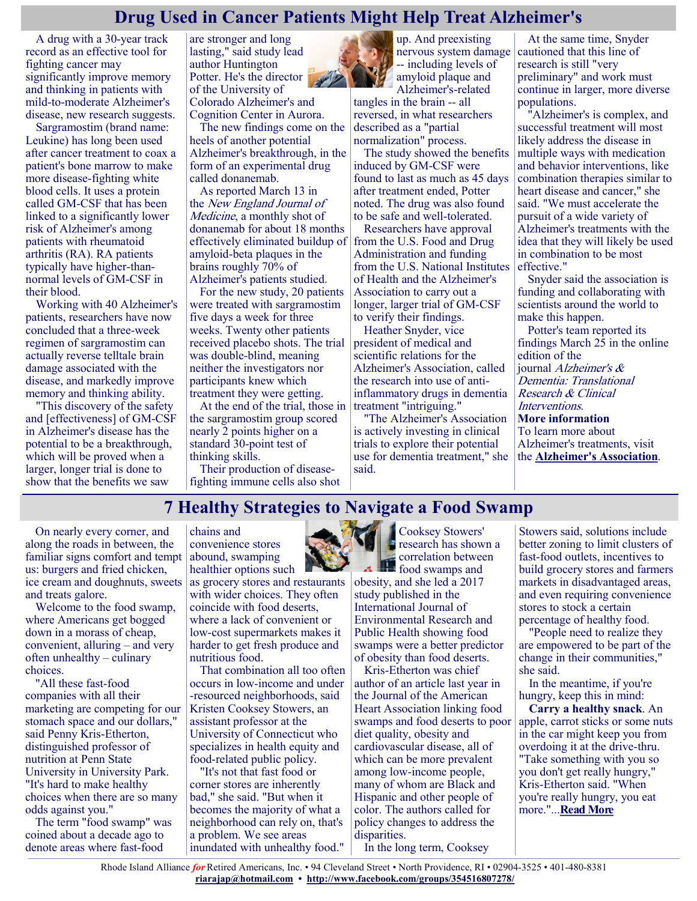## **Drug Used in Cancer Patients Might Help Treat Alzheimer's**

A drug with a 30-year track record as an effective tool for fighting cancer may significantly improve memory and thinking in patients with mild-to-moderate Alzheimer's disease, new research suggests.

Sargramostim (brand name: Leukine) has long been used after cancer treatment to coax a patient's bone marrow to make more disease-fighting white blood cells. It uses a protein called GM-CSF that has been linked to a significantly lower risk of Alzheimer's among patients with rheumatoid arthritis (RA). RA patients typically have higher-thannormal levels of GM-CSF in their blood.

Working with 40 Alzheimer's patients, researchers have now concluded that a three-week regimen of sargramostim can actually reverse telltale brain damage associated with the disease, and markedly improve memory and thinking ability.

"This discovery of the safety and [effectiveness] of GM-CSF in Alzheimer's disease has the potential to be a breakthrough, which will be proved when a larger, longer trial is done to show that the benefits we saw

are stronger and long lasting," said study lead author Huntington Potter. He's the director of the University of Colorado Alzheimer's and

Cognition Center in Aurora. The new findings come on the heels of another potential Alzheimer's breakthrough, in the form of an experimental drug called donanemab.

As reported March 13 in the New England Journal of Medicine, a monthly shot of donanemab for about 18 months effectively eliminated buildup of amyloid-beta plaques in the brains roughly 70% of Alzheimer's patients studied.

For the new study, 20 patients were treated with sargramostim five days a week for three weeks. Twenty other patients received placebo shots. The trial was double-blind, meaning neither the investigators nor participants knew which treatment they were getting.

At the end of the trial, those in the sargramostim group scored nearly 2 points higher on a standard 30-point test of thinking skills.

Their production of diseasefighting immune cells also shot



up. And preexisting nervous system damage -- including levels of amyloid plaque and Alzheimer's-related

tangles in the brain -- all reversed, in what researchers described as a "partial normalization" process.

The study showed the benefits induced by GM-CSF were found to last as much as 45 days after treatment ended, Potter noted. The drug was also found to be safe and well-tolerated.

Researchers have approval from the U.S. Food and Drug Administration and funding from the U.S. National Institutes of Health and the Alzheimer's Association to carry out a longer, larger trial of GM-CSF to verify their findings.

Heather Snyder, vice president of medical and scientific relations for the Alzheimer's Association, called the research into use of antiinflammatory drugs in dementia treatment "intriguing."

"The Alzheimer's Association is actively investing in clinical trials to explore their potential use for dementia treatment," she said.

At the same time, Snyder cautioned that this line of research is still "very preliminary" and work must continue in larger, more diverse populations.

"Alzheimer's is complex, and successful treatment will most likely address the disease in multiple ways with medication and behavior interventions, like combination therapies similar to heart disease and cancer," she said. "We must accelerate the pursuit of a wide variety of Alzheimer's treatments with the idea that they will likely be used in combination to be most effective."

Snyder said the association is funding and collaborating with scientists around the world to make this happen.

Potter's team reported its findings March 25 in the online edition of the journal Alzheimer's & Dementia: Translational Research & Clinical Interventions. **More information** To learn more about Alzheimer's treatments, visit

the **[Alzheimer's Association](https://www.alz.org/alzheimers-dementia/treatments)**.

# **7 Healthy Strategies to Navigate a Food Swamp**

On nearly every corner, and along the roads in between, the familiar signs comfort and tempt abound, swamping us: burgers and fried chicken, ice cream and doughnuts, sweets and treats galore.

Welcome to the food swamp, where Americans get bogged down in a morass of cheap, convenient, alluring – and very often unhealthy – culinary choices.

"All these fast-food companies with all their marketing are competing for our stomach space and our dollars," said Penny Kris-Etherton, distinguished professor of nutrition at Penn State University in University Park. "It's hard to make healthy choices when there are so many odds against you."

The term "food swamp" was coined about a decade ago to denote areas where fast-food

chains and convenience stores healthier options such

as grocery stores and restaurants with wider choices. They often coincide with food deserts, where a lack of convenient or low-cost supermarkets makes it harder to get fresh produce and nutritious food.

That combination all too often occurs in low-income and under -resourced neighborhoods, said Kristen Cooksey Stowers, an assistant professor at the University of Connecticut who specializes in health equity and food-related public policy.

"It's not that fast food or corner stores are inherently bad," she said. "But when it becomes the majority of what a neighborhood can rely on, that's a problem. We see areas inundated with unhealthy food."



obesity, and she led a 2017 study published in the International Journal of Environmental Research and Public Health showing food swamps were a better predictor of obesity than food deserts.

Kris-Etherton was chief author of an article last year in the Journal of the American Heart Association linking food swamps and food deserts to poor diet quality, obesity and cardiovascular disease, all of which can be more prevalent among low-income people, many of whom are Black and Hispanic and other people of color. The authors called for policy changes to address the disparities.

In the long term, Cooksey

Stowers said, solutions include better zoning to limit clusters of fast-food outlets, incentives to build grocery stores and farmers markets in disadvantaged areas, and even requiring convenience stores to stock a certain percentage of healthy food.

"People need to realize they are empowered to be part of the change in their communities," she said.

In the meantime, if you're hungry, keep this in mind:

**Carry a healthy snack**. An apple, carrot sticks or some nuts in the car might keep you from overdoing it at the drive-thru. "Take something with you so you don't get really hungry," Kris-Etherton said. "When you're really hungry, you eat more."...**[Read More](https://consumer.healthday.com/aha-news-7-healthy-strategies-to-navigate-a-food-swamp-2651207206.html)**